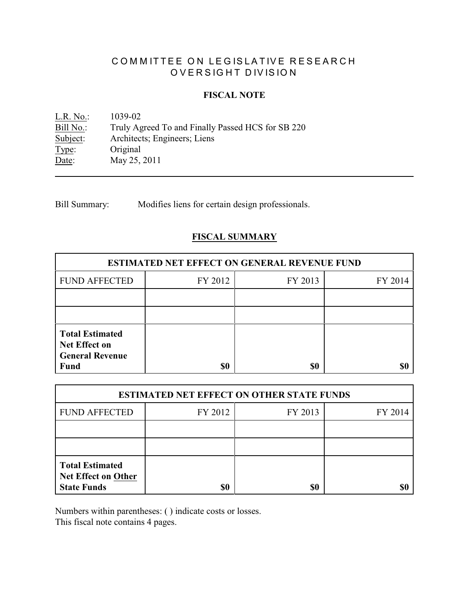# COMMITTEE ON LEGISLATIVE RESEARCH OVERSIGHT DIVISION

#### **FISCAL NOTE**

<u>L.R. No.</u>: 1039-02<br>Bill No.: Truly Ag Bill No.: Truly Agreed To and Finally Passed HCS for SB 220<br>Subject: Architects; Engineers; Liens Subject: Architects; Engineers; Liens<br>Type: Original Original Date: May 25, 2011

Bill Summary: Modifies liens for certain design professionals.

## **FISCAL SUMMARY**

| <b>ESTIMATED NET EFFECT ON GENERAL REVENUE FUND</b>                              |         |         |         |  |
|----------------------------------------------------------------------------------|---------|---------|---------|--|
| <b>FUND AFFECTED</b>                                                             | FY 2012 | FY 2013 | FY 2014 |  |
|                                                                                  |         |         |         |  |
|                                                                                  |         |         |         |  |
| <b>Total Estimated</b><br><b>Net Effect on</b><br><b>General Revenue</b><br>Fund | \$0     | \$0     |         |  |

| <b>ESTIMATED NET EFFECT ON OTHER STATE FUNDS</b>                           |         |         |         |  |
|----------------------------------------------------------------------------|---------|---------|---------|--|
| <b>FUND AFFECTED</b>                                                       | FY 2012 | FY 2013 | FY 2014 |  |
|                                                                            |         |         |         |  |
|                                                                            |         |         |         |  |
| <b>Total Estimated</b><br><b>Net Effect on Other</b><br><b>State Funds</b> | \$0     | \$0     |         |  |

Numbers within parentheses: ( ) indicate costs or losses.

This fiscal note contains 4 pages.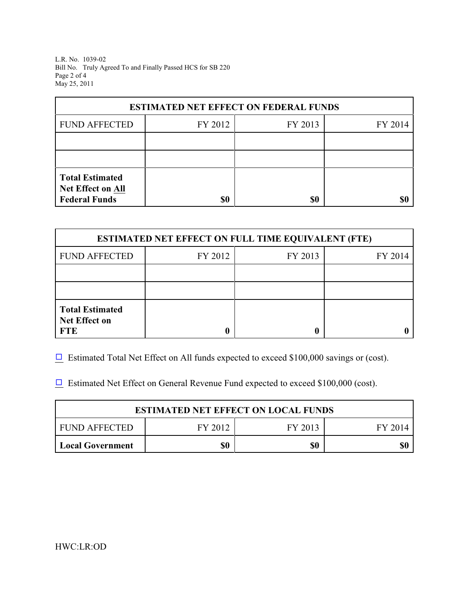L.R. No. 1039-02 Bill No. Truly Agreed To and Finally Passed HCS for SB 220 Page 2 of 4 May 25, 2011

| <b>ESTIMATED NET EFFECT ON FEDERAL FUNDS</b> |         |         |         |  |
|----------------------------------------------|---------|---------|---------|--|
| <b>FUND AFFECTED</b>                         | FY 2012 | FY 2013 | FY 2014 |  |
|                                              |         |         |         |  |
|                                              |         |         |         |  |
| <b>Total Estimated</b><br>Net Effect on All  |         |         |         |  |
| <b>Federal Funds</b>                         | \$0     | \$0     |         |  |

| <b>ESTIMATED NET EFFECT ON FULL TIME EQUIVALENT (FTE)</b>    |         |         |         |  |
|--------------------------------------------------------------|---------|---------|---------|--|
| <b>FUND AFFECTED</b>                                         | FY 2012 | FY 2013 | FY 2014 |  |
|                                                              |         |         |         |  |
|                                                              |         |         |         |  |
| <b>Total Estimated</b><br><b>Net Effect on</b><br><b>FTE</b> |         |         |         |  |

 $\Box$  Estimated Total Net Effect on All funds expected to exceed \$100,000 savings or (cost).

 $\Box$  Estimated Net Effect on General Revenue Fund expected to exceed \$100,000 (cost).

| <b>ESTIMATED NET EFFECT ON LOCAL FUNDS</b> |         |         |         |  |
|--------------------------------------------|---------|---------|---------|--|
| I FUND AFFECTED                            | FY 2012 | FY 2013 | FY 2014 |  |
| Local Government                           | \$0     | \$0     |         |  |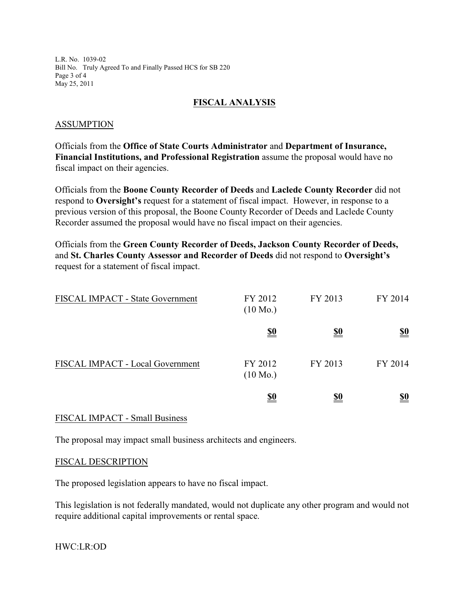L.R. No. 1039-02 Bill No. Truly Agreed To and Finally Passed HCS for SB 220 Page 3 of 4 May 25, 2011

## **FISCAL ANALYSIS**

#### ASSUMPTION

Officials from the **Office of State Courts Administrator** and **Department of Insurance, Financial Institutions, and Professional Registration** assume the proposal would have no fiscal impact on their agencies.

Officials from the **Boone County Recorder of Deeds** and **Laclede County Recorder** did not respond to **Oversight's** request for a statement of fiscal impact. However, in response to a previous version of this proposal, the Boone County Recorder of Deeds and Laclede County Recorder assumed the proposal would have no fiscal impact on their agencies.

Officials from the **Green County Recorder of Deeds, Jackson County Recorder of Deeds,** and **St. Charles County Assessor and Recorder of Deeds** did not respond to **Oversight's** request for a statement of fiscal impact.

| FISCAL IMPACT - State Government | FY 2012<br>$(10 \text{ Mo.})$ | FY 2013    | FY 2014                       |
|----------------------------------|-------------------------------|------------|-------------------------------|
|                                  | <u>\$0</u>                    | <u>\$0</u> | $\underline{\underline{\$0}}$ |
| FISCAL IMPACT - Local Government | FY 2012<br>$(10 \text{ Mo.})$ | FY 2013    | FY 2014                       |
|                                  | <u>\$0</u>                    | <u>\$0</u> | <u>\$0</u>                    |

#### FISCAL IMPACT - Small Business

The proposal may impact small business architects and engineers.

#### FISCAL DESCRIPTION

The proposed legislation appears to have no fiscal impact.

This legislation is not federally mandated, would not duplicate any other program and would not require additional capital improvements or rental space.

HWC:LR:OD